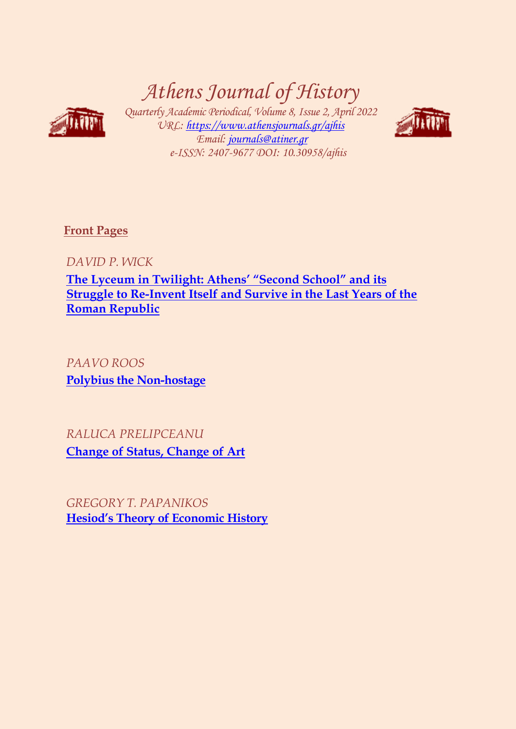# *Athens Journal of History*



*Quarterly Academic Periodical, Volume 8, Issue 2, April 2022 URL:<https://www.athensjournals.gr/ajhis> Email: [journals@atiner.gr](mailto:journals@atiner.gr) e-ISSN: 2407-9677 DOI: 10.30958/ajhis*



**[Front Pages](https://www.athensjournals.gr/history/Cover-2022-02HIS.pdf)** 

*DAVID P. WICK* 

**The [Lyceum in Twilight: Athens' "Second School" and its](http://www.athensjournals.gr/history/2022-8-2-1-Wick.pdf)  [Struggle to Re-Invent Itself and Survive in the Last Years of the](http://www.athensjournals.gr/history/2022-8-2-1-Wick.pdf)  [Roman Republic](http://www.athensjournals.gr/history/2022-8-2-1-Wick.pdf)**

*PAAVO ROOS* **[Polybius the Non-hostage](http://www.athensjournals.gr/history/2022-8-2-2-Roos.pdf)**

*RALUCA PRELIPCEANU*  **[Change of Status, Change of Art](http://www.athensjournals.gr/history/2022-8-2-3-Prelipceanu.pdf)**

*GREGORY T. PAPANIKOS* **[Hesiod's Theory of Economic History](http://www.athensjournals.gr/history/2022-8-2-4-Papanikos.pdf)**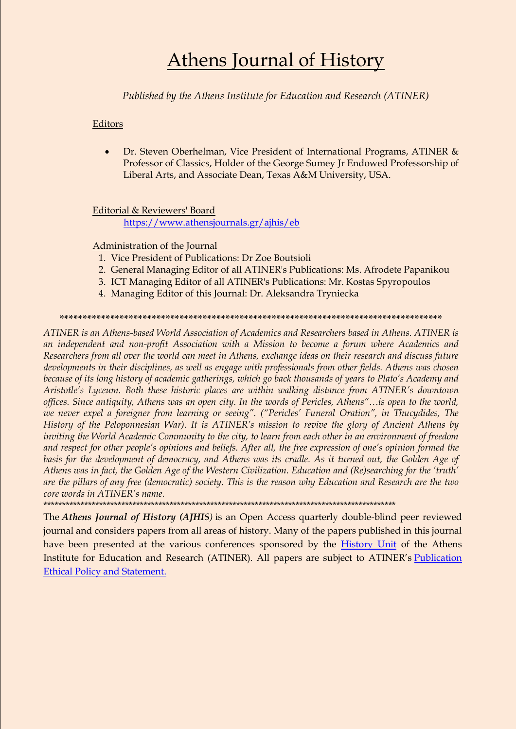## **Athens Journal of History**

Published by the Athens Institute for Education and Research (ATINER)

Editors

Dr. Steven Oberhelman, Vice President of International Programs, ATINER &  $\bullet$ Professor of Classics, Holder of the George Sumey Jr Endowed Professorship of Liberal Arts, and Associate Dean, Texas A&M University, USA.

Editorial & Reviewers' Board

https://www.athensjournals.gr/ajhis/eb

Administration of the Journal

- 1. Vice President of Publications: Dr Zoe Boutsioli
- 2. General Managing Editor of all ATINER's Publications: Ms. Afrodete Papanikou
- 3. ICT Managing Editor of all ATINER's Publications: Mr. Kostas Spyropoulos
- 4. Managing Editor of this Journal: Dr. Aleksandra Tryniecka

#### 

ATINER is an Athens-based World Association of Academics and Researchers based in Athens. ATINER is an independent and non-profit Association with a Mission to become a forum where Academics and Researchers from all over the world can meet in Athens, exchange ideas on their research and discuss future developments in their disciplines, as well as engage with professionals from other fields. Athens was chosen because of its long history of academic gatherings, which go back thousands of years to Plato's Academy and Aristotle's Lyceum. Both these historic places are within walking distance from ATINER's downtown offices. Since antiquity, Athens was an open city. In the words of Pericles, Athens"...is open to the world, we never expel a foreigner from learning or seeing". ("Pericles' Funeral Oration", in Thucydides, The History of the Peloponnesian War). It is ATINER's mission to revive the glory of Ancient Athens by inviting the World Academic Community to the city, to learn from each other in an environment of freedom and respect for other people's opinions and beliefs. After all, the free expression of one's opinion formed the basis for the development of democracy, and Athens was its cradle. As it turned out, the Golden Age of Athens was in fact, the Golden Age of the Western Civilization. Education and (Re)searching for the 'truth' are the pillars of any free (democratic) society. This is the reason why Education and Research are the two core words in ATINER's name.

The Athens Journal of History (AJHIS) is an Open Access quarterly double-blind peer reviewed journal and considers papers from all areas of history. Many of the papers published in this journal have been presented at the various conferences sponsored by the History Unit of the Athens Institute for Education and Research (ATINER). All papers are subject to ATINER's Publication **Ethical Policy and Statement.**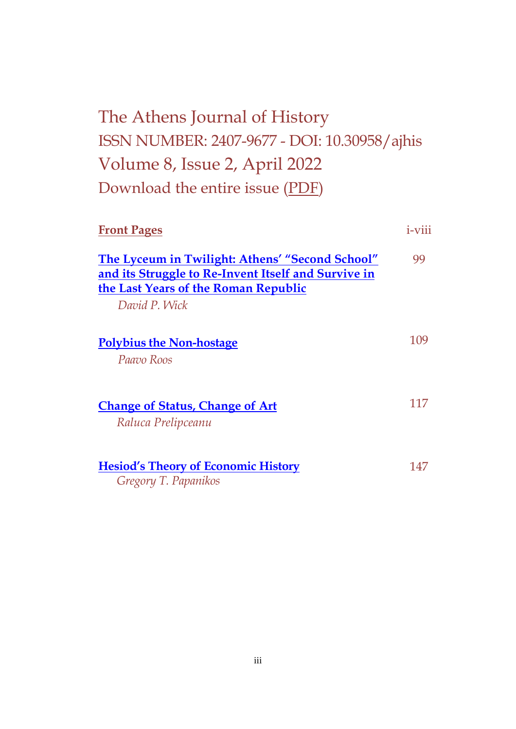## The Athens Journal of History ISSN NUMBER: 2407-9677 - DOI: 10.30958/ajhis Volume 8, Issue 2, April 2022 Download the entire issue [\(PDF\)](https://www.athensjournals.gr/history/2022-02HIS.pdf)

| <b>Front Pages</b>                                                                                                                                              | $i$ -viii |
|-----------------------------------------------------------------------------------------------------------------------------------------------------------------|-----------|
| The Lyceum in Twilight: Athens' "Second School"<br>and its Struggle to Re-Invent Itself and Survive in<br>the Last Years of the Roman Republic<br>David P. Wick | 99        |
| <b>Polybius the Non-hostage</b><br>Paavo Roos                                                                                                                   | 109       |
| <b>Change of Status, Change of Art</b><br>Raluca Prelipceanu                                                                                                    | 117       |
| <b>Hesiod's Theory of Economic History</b><br>Gregory T. Papanikos                                                                                              | 147       |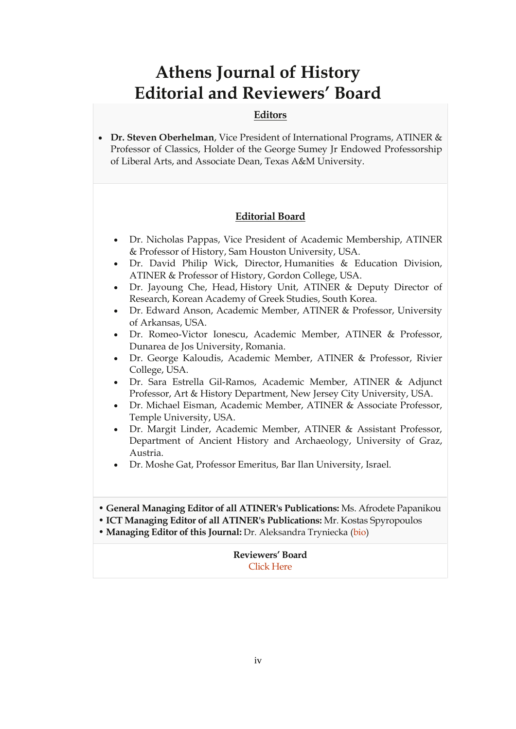### **Athens Journal of History Editorial and Reviewers' Board**

#### **Editors**

 **Dr. Steven Oberhelman**, Vice President of International Programs, ATINER & Professor of Classics, Holder of the George Sumey Jr Endowed Professorship of Liberal Arts, and Associate Dean, Texas A&M University.

#### **Editorial Board**

- Dr. Nicholas Pappas, Vice President of Academic Membership, ATINER & Professor of History, Sam Houston University, USA.
- Dr. David Philip Wick, Director, Humanities & Education Division, ATINER & Professor of History, Gordon College, USA.
- Dr. Jayoung Che, Head, History Unit, ATINER & Deputy Director of Research, Korean Academy of Greek Studies, South Korea.
- Dr. Edward Anson, Academic Member, ATINER & Professor, University of Arkansas, USA.
- Dr. Romeo-Victor Ionescu, Academic Member, ATINER & Professor, Dunarea de Jos University, Romania.
- Dr. George Kaloudis, Academic Member, ATINER & Professor, Rivier College, USA.
- Dr. Sara Estrella Gil-Ramos, Academic Member, ATINER & Adjunct Professor, Art & History Department, New Jersey City University, USA.
- Dr. Michael Eisman, Academic Member, ATINER & Associate Professor, Temple University, USA.
- Dr. Margit Linder, Academic Member, ATINER & Assistant Professor, Department of Ancient History and Archaeology, University of Graz, Austria.
- Dr. Moshe Gat, Professor Emeritus, Bar Ilan University, Israel.

• **General Managing Editor of all ATINER's Publications:** Ms. Afrodete Papanikou

- **ICT Managing Editor of all ATINER's Publications:** Mr. Kostas Spyropoulos
- **Managing Editor of this Journal:** Dr. Aleksandra Tryniecka [\(bio\)](https://www.atiner.gr/bio/Tryniecka-Aleksandra.pdf)

#### **Reviewers' Board** [Click Here](https://www.athensjournals.gr/ajhis/ajhisrb)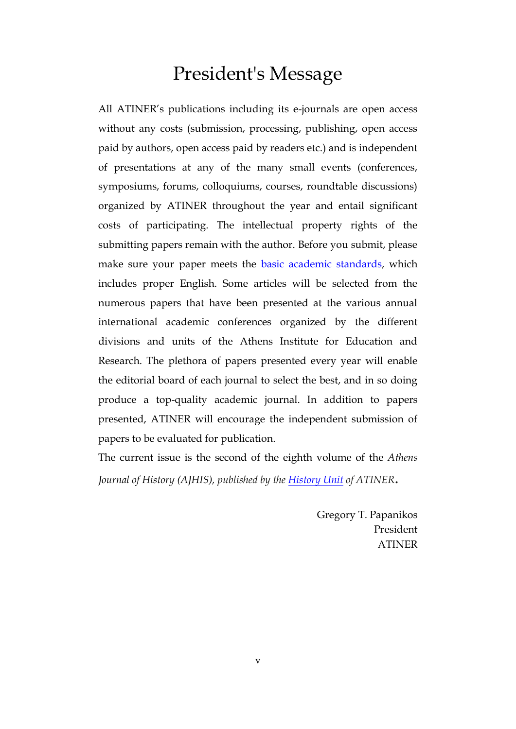## President's Message

All ATINER's publications including its e-journals are open access without any costs (submission, processing, publishing, open access paid by authors, open access paid by readers etc.) and is independent of presentations at any of the many small events (conferences, symposiums, forums, colloquiums, courses, roundtable discussions) organized by ATINER throughout the year and entail significant costs of participating. The intellectual property rights of the submitting papers remain with the author. Before you submit, please make sure your paper meets the [basic academic standards,](https://www.athensjournals.gr/Standards.pdf) which includes proper English. Some articles will be selected from the numerous papers that have been presented at the various annual international academic conferences organized by the different divisions and units of the Athens Institute for Education and Research. The plethora of papers presented every year will enable the editorial board of each journal to select the best, and in so doing produce a top-quality academic journal. In addition to papers presented, ATINER will encourage the independent submission of papers to be evaluated for publication.

The current issue is the second of the eighth volume of the *Athens Journal of History (AJHIS), published by the [History Unit](https://www.atiner.gr/history-unit) of ATINER.*

> Gregory T. Papanikos President ATINER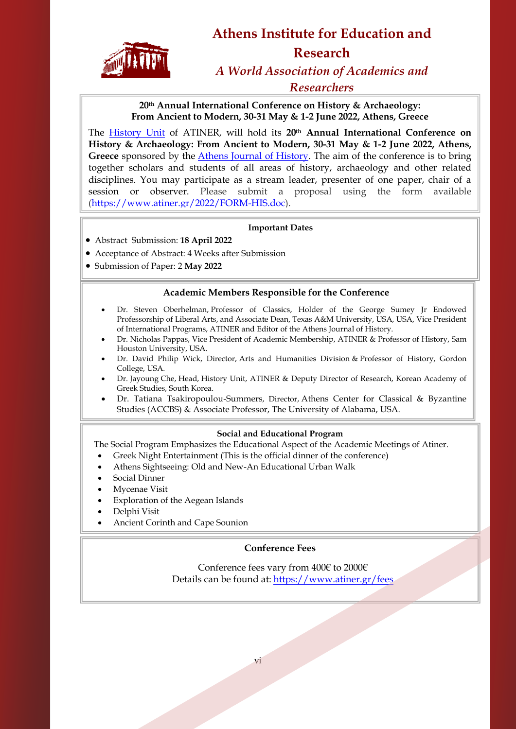

## **Athens Institute for Education and Research** *A World Association of Academics and*

*Researchers*

**20th Annual International Conference on History & Archaeology: From Ancient to Modern, 30-31 May & 1-2 June 2022, Athens, Greece**

The [History Unit](http://www.atiner.gr/docs/HISTORY_UNIT.htm) of ATINER, will hold its **20th Annual International Conference on History & Archaeology: From Ancient to Modern, 30-31 May & 1-2 June 2022, Athens, Greece** sponsored by the [Athens Journal of History.](http://www.athensjournals.gr/ajhis) The aim of the conference is to bring together scholars and students of all areas of history, archaeology and other related disciplines. You may participate as a stream leader, presenter of one paper, chair of a session or observer. Please submit a proposal using the form available [\(https://www.atiner.gr/2022/FORM-HIS.doc\)](https://www.atiner.gr/2022/FORM-HIS.doc).

#### **Important Dates**

- Abstract Submission: **18 April 2022**
- Acceptance of Abstract: 4 Weeks after Submission
- Submission of Paper: 2 **May 2022**

i.

#### **Academic Members Responsible for the Conference**

- Dr. Steven Oberhelman, Professor of Classics, Holder of the George Sumey Jr Endowed Professorship of Liberal Arts, and Associate Dean, Texas A&M University, USA, USA, Vice President of International Programs, ATINER and Editor of the Athens [Journal of History.](https://www.athensjournals.gr/ajhis)
- Dr. Nicholas Pappas, Vice President of Academic Membership, ATINER & Professor of History, Sam Houston University, USA.
- Dr. David Philip Wick, Director, [Arts and Humanities Division](http://www.atiner.gr/AHRD.htm) & Professor of History, Gordon College, USA.
- Dr. Jayoung Che, Head, [History Unit,](http://www.atiner.gr/docs/HISTORY_UNIT.htm) ATINER & Deputy Director of Research, Korean Academy of Greek Studies, South Korea.
- Dr. Tatiana Tsakiropoulou-Summers, Director, [Athens Center for Classical & Byzantine](https://www.atiner.gr/accbs)  [Studies \(ACCBS\)](https://www.atiner.gr/accbs) & Associate Professor, The University of Alabama, USA.

#### **Social and Educational Program**

The Social Program Emphasizes the Educational Aspect of the Academic Meetings of Atiner.

- Greek Night Entertainment (This is the official dinner of the conference)
- Athens Sightseeing: Old and New-An Educational Urban Walk
- Social Dinner

Ė

- Mycenae Visit
- Exploration of the Aegean Islands
- Delphi Visit
- Ancient Corinth and Cape Sounion

#### **Conference Fees**

Conference fees vary from 400€ to 2000€ Details can be found at: <https://www.atiner.gr/fees>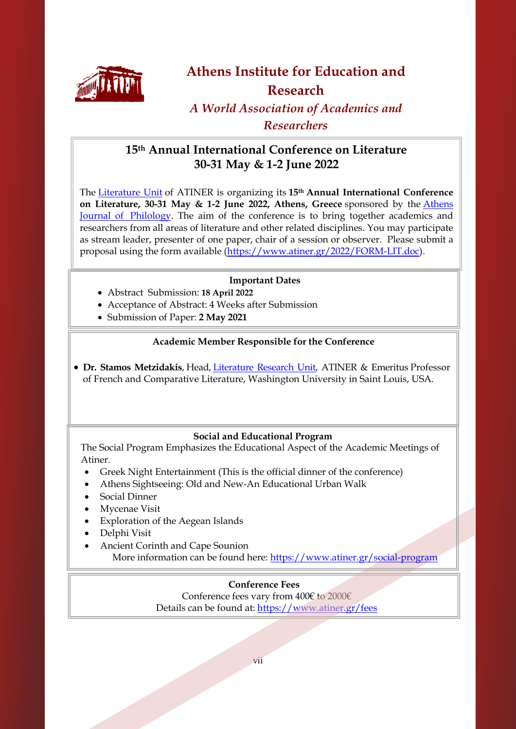

### **Athens Institute for Education and Research**

*A World Association of Academics and Researchers*

#### **15th Annual International Conference on Literature 30-31 May & 1-2 June 2022**

The [Literature Unit](http://www.atiner.gr/literature-unit) of ATINER is organizing its **15th Annual International Conference on Literature, 30-31 May & 1-2 June 2022, Athens, Greece** sponsored by the [Athens](http://www.athensjournals.gr/ajp)  [Journal of Philology.](http://www.athensjournals.gr/ajp) The aim of the conference is to bring together academics and researchers from all areas of literature and other related disciplines. You may participate as stream leader, presenter of one paper, chair of a session or observer. Please submit a proposal using the form available [\(https://www.atiner.gr/2022/FORM-LIT.doc\)](https://www.atiner.gr/2022/FORM-LIT.doc).

#### **Important Dates**

- Abstract Submission: **18 April 2022**
- Acceptance of Abstract: 4 Weeks after Submission
- Submission of Paper: **2 May 2021**

#### **Academic Member Responsible for the Conference**

 **Dr. Stamos Metzidakis**, Head, [Literature](http://www.atiner.gr/literature-unit) Research Unit, ATINER & Emeritus Professor of French and Comparative Literature, Washington University in Saint Louis, USA.

#### **Social and Educational Program**

 The Social Program Emphasizes the Educational Aspect of the Academic Meetings of Atiner.

- Greek Night Entertainment (This is the official dinner of the conference)
- Athens Sightseeing: Old and New-An Educational Urban Walk
- Social Dinner

 $\overline{\phantom{a}}$ 

- Mycenae Visit
- Exploration of the Aegean Islands
- Delphi Visit
- Ancient Corinth and Cape Sounion More information can be found here:<https://www.atiner.gr/social-program>

#### **Conference Fees**

Conference fees vary from 400€ to 2000€ Details can be found at: <https://www.atiner.gr/fees>